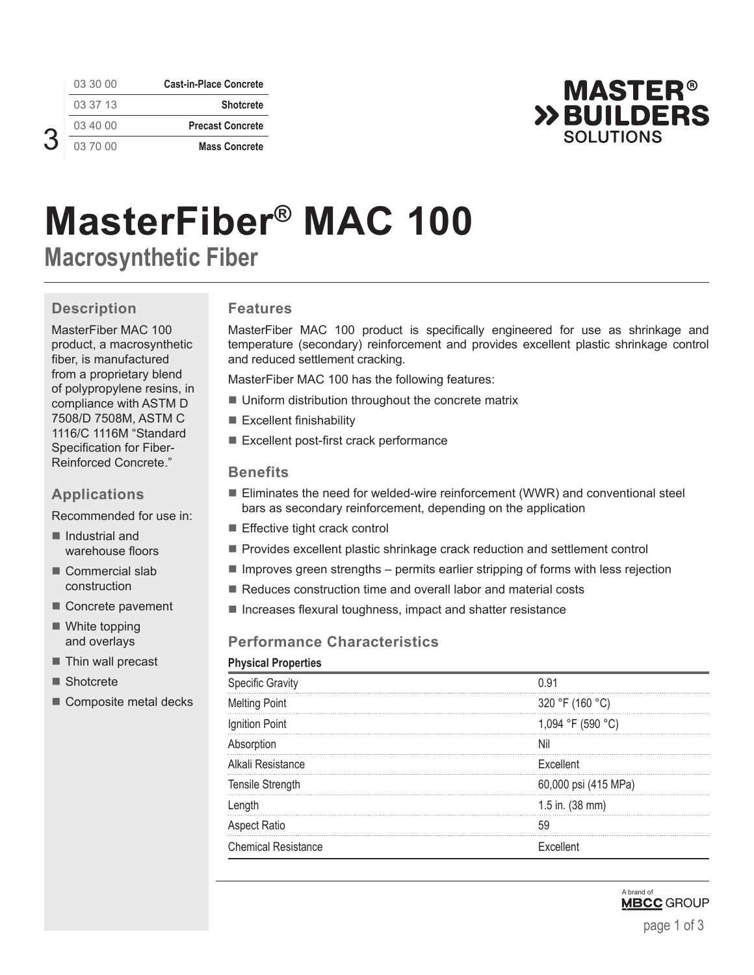| <b>Cast-in-Place Concrete</b> | 03 30 00 |  |
|-------------------------------|----------|--|
| <b>Shotcrete</b>              | 03 37 13 |  |
| <b>Precast Concrete</b>       | 03 40 00 |  |
| <b>Mass Concrete</b>          | 03 70 00 |  |



# **MasterFiber® MAC 100 Macrosynthetic Fiber**

# **Description**

MasterFiber MAC 100 product, a macrosynthetic fiber, is manufactured from a proprietary blend of polypropylene resins, in compliance with ASTM D 7508/D 7508M, ASTM C 1116/C 1116M "Standard Specification for Fiber-Reinforced Concrete."

#### **Applications**

Recommended for use in:

- Industrial and warehouse floors
- Commercial slab construction
- Concrete pavement
- White topping and overlays
- Thin wall precast
- Shotcrete
- Composite metal decks

#### **Features**

MasterFiber MAC 100 product is specifically engineered for use as shrinkage and temperature (secondary) reinforcement and provides excellent plastic shrinkage control and reduced settlement cracking.

MasterFiber MAC 100 has the following features:

- **Uniform distribution throughout the concrete matrix**
- Excellent finishability
- Excellent post-first crack performance

#### **Benefits**

- Eliminates the need for welded-wire reinforcement (WWR) and conventional steel bars as secondary reinforcement, depending on the application
- Effective tight crack control
- **Provides excellent plastic shrinkage crack reduction and settlement control**
- $\blacksquare$  Improves green strengths permits earlier stripping of forms with less rejection
- Reduces construction time and overall labor and material costs
- $\blacksquare$  Increases flexural toughness, impact and shatter resistance

## **Performance Characteristics**

#### **Physical Properties**

| <b>Specific Gravity</b>    | በ 91                 |
|----------------------------|----------------------|
| <b>Melting Point</b>       | 320 °F (160 °C)      |
| Ignition Point             | 1,094 °F (590 °C)    |
| Absorption                 | Nil                  |
| Alkali Resistance          | Excellent            |
| Tensile Strength           | 60,000 psi (415 MPa) |
| Length                     | 1.5 in. (38 mm)      |
| Aspect Ratio               |                      |
| <b>Chemical Resistance</b> | Excellent            |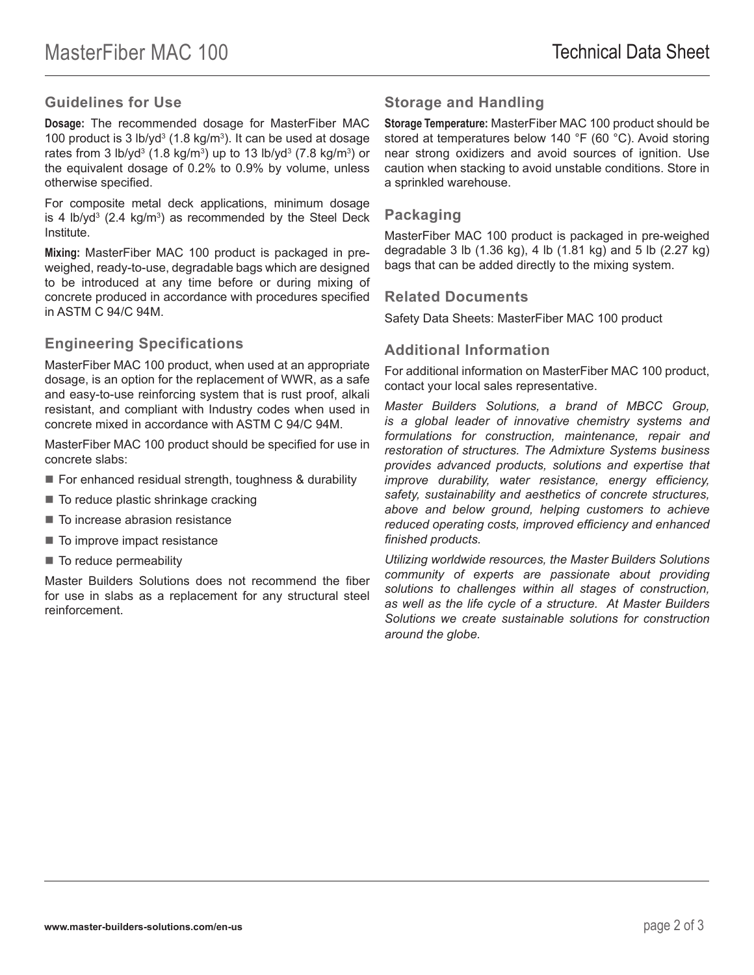## **Guidelines for Use**

**Dosage:** The recommended dosage for MasterFiber MAC 100 product is 3 lb/yd<sup>3</sup> (1.8 kg/m<sup>3</sup>). It can be used at dosage rates from 3 lb/yd<sup>3</sup> (1.8 kg/m<sup>3</sup>) up to 13 lb/yd<sup>3</sup> (7.8 kg/m<sup>3</sup>) or the equivalent dosage of 0.2% to 0.9% by volume, unless otherwise specified.

For composite metal deck applications, minimum dosage is 4 lb/yd<sup>3</sup> (2.4 kg/m<sup>3</sup>) as recommended by the Steel Deck Institute.

**Mixing:** MasterFiber MAC 100 product is packaged in preweighed, ready-to-use, degradable bags which are designed to be introduced at any time before or during mixing of concrete produced in accordance with procedures specified in ASTM C 94/C 94M.

#### **Engineering Specifications**

MasterFiber MAC 100 product, when used at an appropriate dosage, is an option for the replacement of WWR, as a safe and easy-to-use reinforcing system that is rust proof, alkali resistant, and compliant with Industry codes when used in concrete mixed in accordance with ASTM C 94/C 94M.

MasterFiber MAC 100 product should be specified for use in concrete slabs:

- For enhanced residual strength, toughness & durability
- To reduce plastic shrinkage cracking
- To increase abrasion resistance
- To improve impact resistance
- To reduce permeability

Master Builders Solutions does not recommend the fiber for use in slabs as a replacement for any structural steel reinforcement.

# **Storage and Handling**

**Storage Temperature:** MasterFiber MAC 100 product should be stored at temperatures below 140 °F (60 °C). Avoid storing near strong oxidizers and avoid sources of ignition. Use caution when stacking to avoid unstable conditions. Store in a sprinkled warehouse.

#### **Packaging**

MasterFiber MAC 100 product is packaged in pre-weighed degradable 3 lb (1.36 kg), 4 lb (1.81 kg) and 5 lb (2.27 kg) bags that can be added directly to the mixing system.

#### **Related Documents**

Safety Data Sheets: MasterFiber MAC 100 product

## **Additional Information**

For additional information on MasterFiber MAC 100 product, contact your local sales representative.

*Master Builders Solutions, a brand of MBCC Group, is a global leader of innovative chemistry systems and formulations for construction, maintenance, repair and restoration of structures. The Admixture Systems business provides advanced products, solutions and expertise that improve durability, water resistance, energy efficiency, safety, sustainability and aesthetics of concrete structures, above and below ground, helping customers to achieve reduced operating costs, improved efficiency and enhanced finished products.* 

*Utilizing worldwide resources, the Master Builders Solutions community of experts are passionate about providing solutions to challenges within all stages of construction, as well as the life cycle of a structure. At Master Builders Solutions we create sustainable solutions for construction around the globe.*